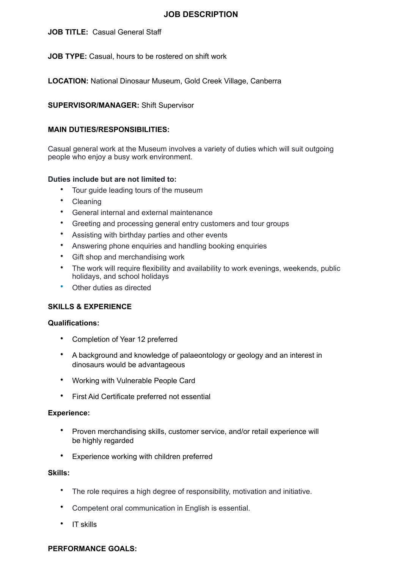# **JOB DESCRIPTION**

## **JOB TITLE:** Casual General Staff

**JOB TYPE:** Casual, hours to be rostered on shift work

**LOCATION:** National Dinosaur Museum, Gold Creek Village, Canberra

## **SUPERVISOR/MANAGER:** Shift Supervisor

### **MAIN DUTIES/RESPONSIBILITIES:**

Casual general work at the Museum involves a variety of duties which will suit outgoing people who enjoy a busy work environment.

## **Duties include but are not limited to:**

- Tour guide leading tours of the museum
- Cleaning
- General internal and external maintenance
- Greeting and processing general entry customers and tour groups
- Assisting with birthday parties and other events
- Answering phone enquiries and handling booking enquiries
- Gift shop and merchandising work
- The work will require flexibility and availability to work evenings, weekends, public holidays, and school holidays
- Other duties as directed

### **SKILLS & EXPERIENCE**

### **Qualifications:**

- Completion of Year 12 preferred
- A background and knowledge of palaeontology or geology and an interest in dinosaurs would be advantageous
- Working with Vulnerable People Card
- First Aid Certificate preferred not essential

### **Experience:**

- Proven merchandising skills, customer service, and/or retail experience will be highly regarded
- Experience working with children preferred

#### **Skills:**

- The role requires a high degree of responsibility, motivation and initiative.
- Competent oral communication in English is essential.
- IT skills

#### **PERFORMANCE GOALS:**